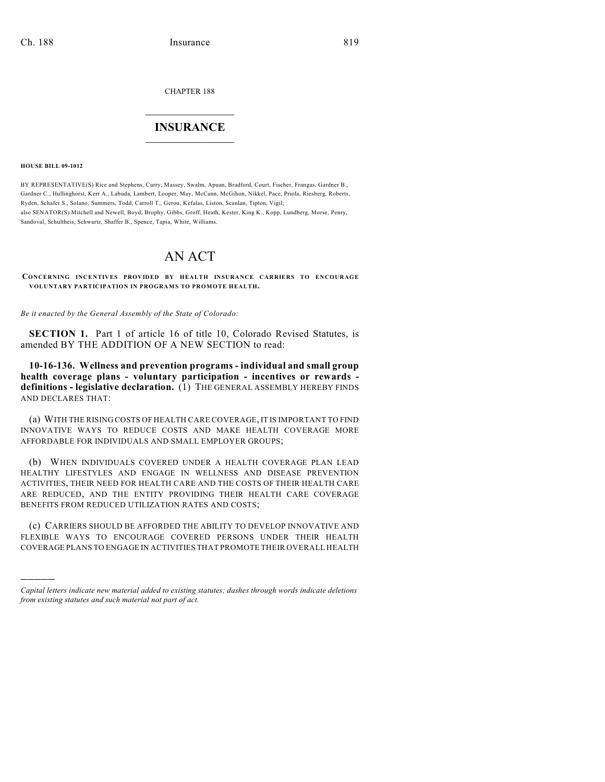CHAPTER 188

## $\overline{\phantom{a}}$  . The set of the set of the set of the set of the set of the set of the set of the set of the set of the set of the set of the set of the set of the set of the set of the set of the set of the set of the set o **INSURANCE**  $\frac{1}{2}$  ,  $\frac{1}{2}$  ,  $\frac{1}{2}$  ,  $\frac{1}{2}$  ,  $\frac{1}{2}$  ,  $\frac{1}{2}$  ,  $\frac{1}{2}$

**HOUSE BILL 09-1012**

)))))

BY REPRESENTATIVE(S) Rice and Stephens, Curry, Massey, Swalm, Apuan, Bradford, Court, Fischer, Frangas, Gardner B., Gardner C., Hullinghorst, Kerr A., Labuda, Lambert, Looper, May, McCann, McGihon, Nikkel, Pace, Priola, Riesberg, Roberts, Ryden, Schafer S., Solano, Summers, Todd, Carroll T., Gerou, Kefalas, Liston, Scanlan, Tipton, Vigil; also SENATOR(S) Mitchell and Newell, Boyd, Brophy, Gibbs, Groff, Heath, Kester, King K., Kopp, Lundberg, Morse, Penry, Sandoval, Schultheis, Schwartz, Shaffer B., Spence, Tapia, White, Williams.

## AN ACT

**CONCERNING INCENTIVES PROVIDED BY HEALTH INSURANCE CARRIERS TO ENCOURAGE VOLUNTARY PARTICIPATION IN PROGRAMS TO PROMOTE HEALTH.**

*Be it enacted by the General Assembly of the State of Colorado:*

**SECTION 1.** Part 1 of article 16 of title 10, Colorado Revised Statutes, is amended BY THE ADDITION OF A NEW SECTION to read:

**10-16-136. Wellness and prevention programs - individual and small group health coverage plans - voluntary participation - incentives or rewards definitions - legislative declaration.** (1) THE GENERAL ASSEMBLY HEREBY FINDS AND DECLARES THAT:

(a) WITH THE RISING COSTS OF HEALTH CARE COVERAGE, IT IS IMPORTANT TO FIND INNOVATIVE WAYS TO REDUCE COSTS AND MAKE HEALTH COVERAGE MORE AFFORDABLE FOR INDIVIDUALS AND SMALL EMPLOYER GROUPS;

(b) WHEN INDIVIDUALS COVERED UNDER A HEALTH COVERAGE PLAN LEAD HEALTHY LIFESTYLES AND ENGAGE IN WELLNESS AND DISEASE PREVENTION ACTIVITIES, THEIR NEED FOR HEALTH CARE AND THE COSTS OF THEIR HEALTH CARE ARE REDUCED, AND THE ENTITY PROVIDING THEIR HEALTH CARE COVERAGE BENEFITS FROM REDUCED UTILIZATION RATES AND COSTS;

(c) CARRIERS SHOULD BE AFFORDED THE ABILITY TO DEVELOP INNOVATIVE AND FLEXIBLE WAYS TO ENCOURAGE COVERED PERSONS UNDER THEIR HEALTH COVERAGE PLANS TO ENGAGE IN ACTIVITIES THAT PROMOTE THEIR OVERALL HEALTH

*Capital letters indicate new material added to existing statutes; dashes through words indicate deletions from existing statutes and such material not part of act.*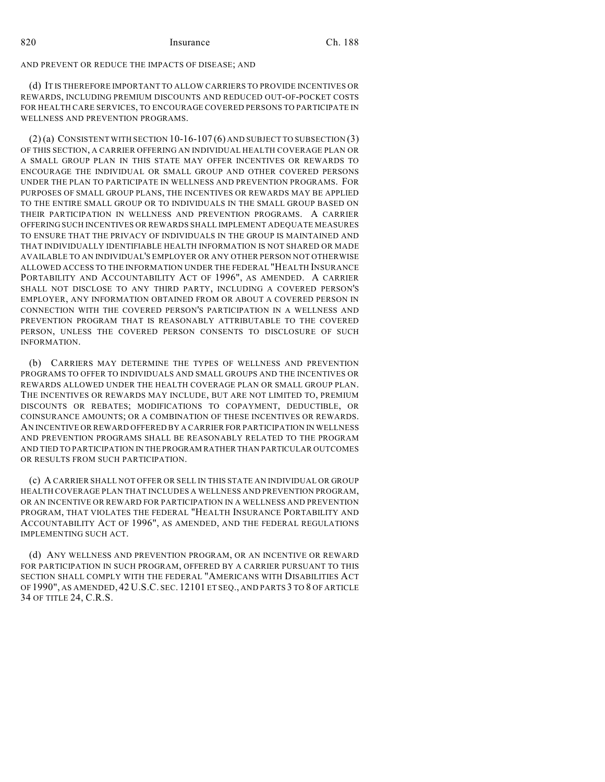AND PREVENT OR REDUCE THE IMPACTS OF DISEASE; AND

(d) IT IS THEREFORE IMPORTANT TO ALLOW CARRIERS TO PROVIDE INCENTIVES OR REWARDS, INCLUDING PREMIUM DISCOUNTS AND REDUCED OUT-OF-POCKET COSTS FOR HEALTH CARE SERVICES, TO ENCOURAGE COVERED PERSONS TO PARTICIPATE IN WELLNESS AND PREVENTION PROGRAMS.

 $(2)$  (a) CONSISTENT WITH SECTION 10-16-107 (6) AND SUBJECT TO SUBSECTION (3) OF THIS SECTION, A CARRIER OFFERING AN INDIVIDUAL HEALTH COVERAGE PLAN OR A SMALL GROUP PLAN IN THIS STATE MAY OFFER INCENTIVES OR REWARDS TO ENCOURAGE THE INDIVIDUAL OR SMALL GROUP AND OTHER COVERED PERSONS UNDER THE PLAN TO PARTICIPATE IN WELLNESS AND PREVENTION PROGRAMS. FOR PURPOSES OF SMALL GROUP PLANS, THE INCENTIVES OR REWARDS MAY BE APPLIED TO THE ENTIRE SMALL GROUP OR TO INDIVIDUALS IN THE SMALL GROUP BASED ON THEIR PARTICIPATION IN WELLNESS AND PREVENTION PROGRAMS. A CARRIER OFFERING SUCH INCENTIVES OR REWARDS SHALL IMPLEMENT ADEQUATE MEASURES TO ENSURE THAT THE PRIVACY OF INDIVIDUALS IN THE GROUP IS MAINTAINED AND THAT INDIVIDUALLY IDENTIFIABLE HEALTH INFORMATION IS NOT SHARED OR MADE AVAILABLE TO AN INDIVIDUAL'S EMPLOYER OR ANY OTHER PERSON NOT OTHERWISE ALLOWED ACCESS TO THE INFORMATION UNDER THE FEDERAL "HEALTH INSURANCE PORTABILITY AND ACCOUNTABILITY ACT OF 1996", AS AMENDED. A CARRIER SHALL NOT DISCLOSE TO ANY THIRD PARTY, INCLUDING A COVERED PERSON'S EMPLOYER, ANY INFORMATION OBTAINED FROM OR ABOUT A COVERED PERSON IN CONNECTION WITH THE COVERED PERSON'S PARTICIPATION IN A WELLNESS AND PREVENTION PROGRAM THAT IS REASONABLY ATTRIBUTABLE TO THE COVERED PERSON, UNLESS THE COVERED PERSON CONSENTS TO DISCLOSURE OF SUCH INFORMATION.

(b) CARRIERS MAY DETERMINE THE TYPES OF WELLNESS AND PREVENTION PROGRAMS TO OFFER TO INDIVIDUALS AND SMALL GROUPS AND THE INCENTIVES OR REWARDS ALLOWED UNDER THE HEALTH COVERAGE PLAN OR SMALL GROUP PLAN. THE INCENTIVES OR REWARDS MAY INCLUDE, BUT ARE NOT LIMITED TO, PREMIUM DISCOUNTS OR REBATES; MODIFICATIONS TO COPAYMENT, DEDUCTIBLE, OR COINSURANCE AMOUNTS; OR A COMBINATION OF THESE INCENTIVES OR REWARDS. AN INCENTIVE OR REWARD OFFERED BY A CARRIER FOR PARTICIPATION IN WELLNESS AND PREVENTION PROGRAMS SHALL BE REASONABLY RELATED TO THE PROGRAM AND TIED TO PARTICIPATION IN THE PROGRAM RATHER THAN PARTICULAR OUTCOMES OR RESULTS FROM SUCH PARTICIPATION.

(c) A CARRIER SHALL NOT OFFER OR SELL IN THIS STATE AN INDIVIDUAL OR GROUP HEALTH COVERAGE PLAN THAT INCLUDES A WELLNESS AND PREVENTION PROGRAM, OR AN INCENTIVE OR REWARD FOR PARTICIPATION IN A WELLNESS AND PREVENTION PROGRAM, THAT VIOLATES THE FEDERAL "HEALTH INSURANCE PORTABILITY AND ACCOUNTABILITY ACT OF 1996", AS AMENDED, AND THE FEDERAL REGULATIONS IMPLEMENTING SUCH ACT.

(d) ANY WELLNESS AND PREVENTION PROGRAM, OR AN INCENTIVE OR REWARD FOR PARTICIPATION IN SUCH PROGRAM, OFFERED BY A CARRIER PURSUANT TO THIS SECTION SHALL COMPLY WITH THE FEDERAL "AMERICANS WITH DISABILITIES ACT OF 1990", AS AMENDED, 42 U.S.C. SEC. 12101 ET SEQ., AND PARTS 3 TO 8 OF ARTICLE 34 OF TITLE 24, C.R.S.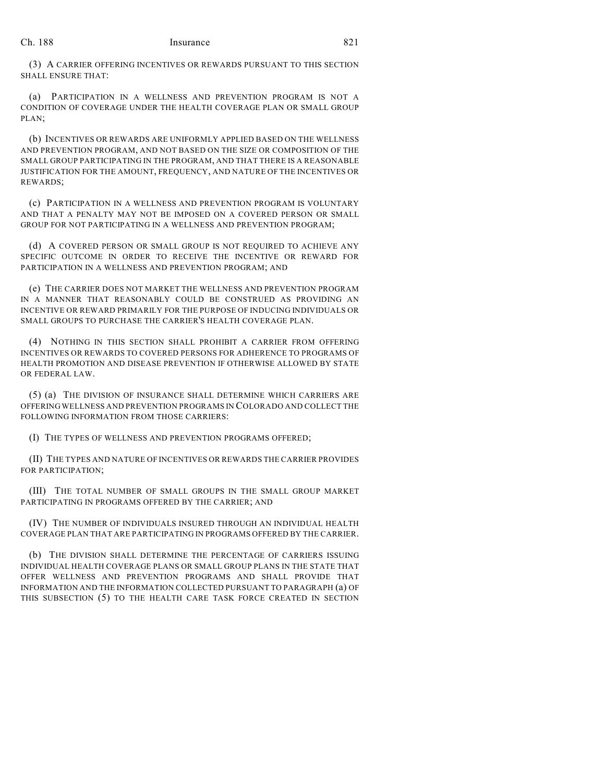## Ch. 188 Insurance 821

(3) A CARRIER OFFERING INCENTIVES OR REWARDS PURSUANT TO THIS SECTION SHALL ENSURE THAT:

(a) PARTICIPATION IN A WELLNESS AND PREVENTION PROGRAM IS NOT A CONDITION OF COVERAGE UNDER THE HEALTH COVERAGE PLAN OR SMALL GROUP PLAN;

(b) INCENTIVES OR REWARDS ARE UNIFORMLY APPLIED BASED ON THE WELLNESS AND PREVENTION PROGRAM, AND NOT BASED ON THE SIZE OR COMPOSITION OF THE SMALL GROUP PARTICIPATING IN THE PROGRAM, AND THAT THERE IS A REASONABLE JUSTIFICATION FOR THE AMOUNT, FREQUENCY, AND NATURE OF THE INCENTIVES OR REWARDS;

(c) PARTICIPATION IN A WELLNESS AND PREVENTION PROGRAM IS VOLUNTARY AND THAT A PENALTY MAY NOT BE IMPOSED ON A COVERED PERSON OR SMALL GROUP FOR NOT PARTICIPATING IN A WELLNESS AND PREVENTION PROGRAM;

(d) A COVERED PERSON OR SMALL GROUP IS NOT REQUIRED TO ACHIEVE ANY SPECIFIC OUTCOME IN ORDER TO RECEIVE THE INCENTIVE OR REWARD FOR PARTICIPATION IN A WELLNESS AND PREVENTION PROGRAM; AND

(e) THE CARRIER DOES NOT MARKET THE WELLNESS AND PREVENTION PROGRAM IN A MANNER THAT REASONABLY COULD BE CONSTRUED AS PROVIDING AN INCENTIVE OR REWARD PRIMARILY FOR THE PURPOSE OF INDUCING INDIVIDUALS OR SMALL GROUPS TO PURCHASE THE CARRIER'S HEALTH COVERAGE PLAN.

(4) NOTHING IN THIS SECTION SHALL PROHIBIT A CARRIER FROM OFFERING INCENTIVES OR REWARDS TO COVERED PERSONS FOR ADHERENCE TO PROGRAMS OF HEALTH PROMOTION AND DISEASE PREVENTION IF OTHERWISE ALLOWED BY STATE OR FEDERAL LAW.

(5) (a) THE DIVISION OF INSURANCE SHALL DETERMINE WHICH CARRIERS ARE OFFERING WELLNESS AND PREVENTION PROGRAMS IN COLORADO AND COLLECT THE FOLLOWING INFORMATION FROM THOSE CARRIERS:

(I) THE TYPES OF WELLNESS AND PREVENTION PROGRAMS OFFERED;

(II) THE TYPES AND NATURE OF INCENTIVES OR REWARDS THE CARRIER PROVIDES FOR PARTICIPATION;

(III) THE TOTAL NUMBER OF SMALL GROUPS IN THE SMALL GROUP MARKET PARTICIPATING IN PROGRAMS OFFERED BY THE CARRIER; AND

(IV) THE NUMBER OF INDIVIDUALS INSURED THROUGH AN INDIVIDUAL HEALTH COVERAGE PLAN THAT ARE PARTICIPATING IN PROGRAMS OFFERED BY THE CARRIER.

(b) THE DIVISION SHALL DETERMINE THE PERCENTAGE OF CARRIERS ISSUING INDIVIDUAL HEALTH COVERAGE PLANS OR SMALL GROUP PLANS IN THE STATE THAT OFFER WELLNESS AND PREVENTION PROGRAMS AND SHALL PROVIDE THAT INFORMATION AND THE INFORMATION COLLECTED PURSUANT TO PARAGRAPH (a) OF THIS SUBSECTION (5) TO THE HEALTH CARE TASK FORCE CREATED IN SECTION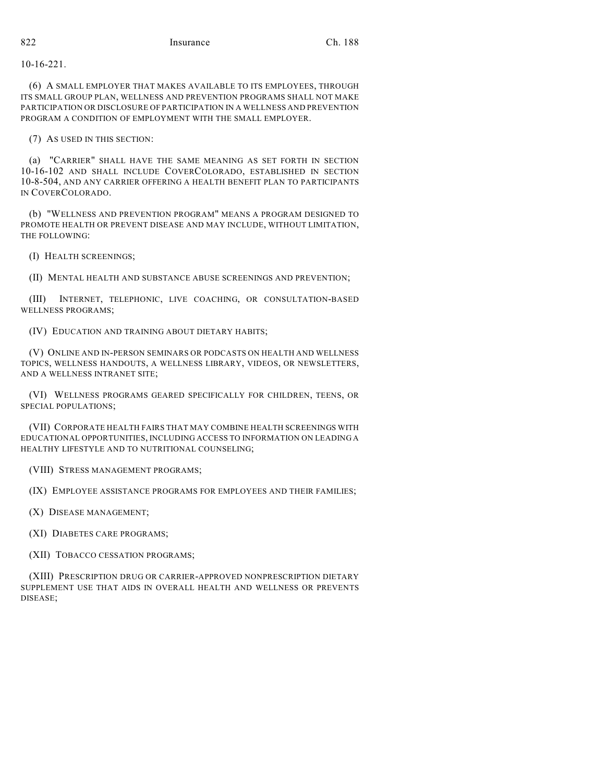10-16-221.

(6) A SMALL EMPLOYER THAT MAKES AVAILABLE TO ITS EMPLOYEES, THROUGH ITS SMALL GROUP PLAN, WELLNESS AND PREVENTION PROGRAMS SHALL NOT MAKE PARTICIPATION OR DISCLOSURE OF PARTICIPATION IN A WELLNESS AND PREVENTION PROGRAM A CONDITION OF EMPLOYMENT WITH THE SMALL EMPLOYER.

(7) AS USED IN THIS SECTION:

(a) "CARRIER" SHALL HAVE THE SAME MEANING AS SET FORTH IN SECTION 10-16-102 AND SHALL INCLUDE COVERCOLORADO, ESTABLISHED IN SECTION 10-8-504, AND ANY CARRIER OFFERING A HEALTH BENEFIT PLAN TO PARTICIPANTS IN COVERCOLORADO.

(b) "WELLNESS AND PREVENTION PROGRAM" MEANS A PROGRAM DESIGNED TO PROMOTE HEALTH OR PREVENT DISEASE AND MAY INCLUDE, WITHOUT LIMITATION, THE FOLLOWING:

(I) HEALTH SCREENINGS;

(II) MENTAL HEALTH AND SUBSTANCE ABUSE SCREENINGS AND PREVENTION;

(III) INTERNET, TELEPHONIC, LIVE COACHING, OR CONSULTATION-BASED WELLNESS PROGRAMS;

(IV) EDUCATION AND TRAINING ABOUT DIETARY HABITS;

(V) ONLINE AND IN-PERSON SEMINARS OR PODCASTS ON HEALTH AND WELLNESS TOPICS, WELLNESS HANDOUTS, A WELLNESS LIBRARY, VIDEOS, OR NEWSLETTERS, AND A WELLNESS INTRANET SITE;

(VI) WELLNESS PROGRAMS GEARED SPECIFICALLY FOR CHILDREN, TEENS, OR SPECIAL POPULATIONS;

(VII) CORPORATE HEALTH FAIRS THAT MAY COMBINE HEALTH SCREENINGS WITH EDUCATIONAL OPPORTUNITIES, INCLUDING ACCESS TO INFORMATION ON LEADING A HEALTHY LIFESTYLE AND TO NUTRITIONAL COUNSELING;

(VIII) STRESS MANAGEMENT PROGRAMS;

(IX) EMPLOYEE ASSISTANCE PROGRAMS FOR EMPLOYEES AND THEIR FAMILIES;

(X) DISEASE MANAGEMENT;

(XI) DIABETES CARE PROGRAMS;

(XII) TOBACCO CESSATION PROGRAMS;

(XIII) PRESCRIPTION DRUG OR CARRIER-APPROVED NONPRESCRIPTION DIETARY SUPPLEMENT USE THAT AIDS IN OVERALL HEALTH AND WELLNESS OR PREVENTS DISEASE;